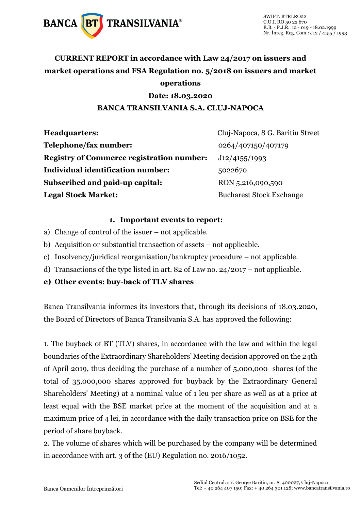

## **CURRENT REPORT in accordance with Law 24/2017 on issuers and market operations and FSA Regulation no. 5/2018 on issuers and market operations**

### **Date: 18.03.2020**

### **BANCA TRANSILVANIA S.A. CLUJ-NAPOCA**

| <b>Headquarters:</b>                             | Cluj-Napoca, 8 G. Baritiu Street |
|--------------------------------------------------|----------------------------------|
| Telephone/fax number:                            | 0264/407150/407179               |
| <b>Registry of Commerce registration number:</b> | J12/4155/1993                    |
| Individual identification number:                | 5022670                          |
| Subscribed and paid-up capital:                  | RON 5,216,090,590                |
| <b>Legal Stock Market:</b>                       | <b>Bucharest Stock Exchange</b>  |

#### **1. Important events to report:**

- a) Change of control of the issuer not applicable.
- b) Acquisition or substantial transaction of assets not applicable.
- c) Insolvency/juridical reorganisation/bankruptcy procedure not applicable.
- d) Transactions of the type listed in art. 82 of Law no. 24/2017 not applicable.
- **e) Other events: buy-back of TLV shares**

Banca Transilvania informes its investors that, through its decisions of 18.03.2020, the Board of Directors of Banca Transilvania S.A. has approved the following:

1. The buyback of BT (TLV) shares, in accordance with the law and within the legal boundaries of the Extraordinary Shareholders' Meeting decision approved on the 24th of April 2019, thus deciding the purchase of a number of 5,000,000 shares (of the total of 35,000,000 shares approved for buyback by the Extraordinary General Shareholders' Meeting) at a nominal value of 1 leu per share as well as at a price at least equal with the BSE market price at the moment of the acquisition and at a maximum price of 4 lei, in accordance with the daily transaction price on BSE for the period of share buyback.

2. The volume of shares which will be purchased by the company will be determined in accordance with art. 3 of the (EU) Regulation no. 2016/1052.